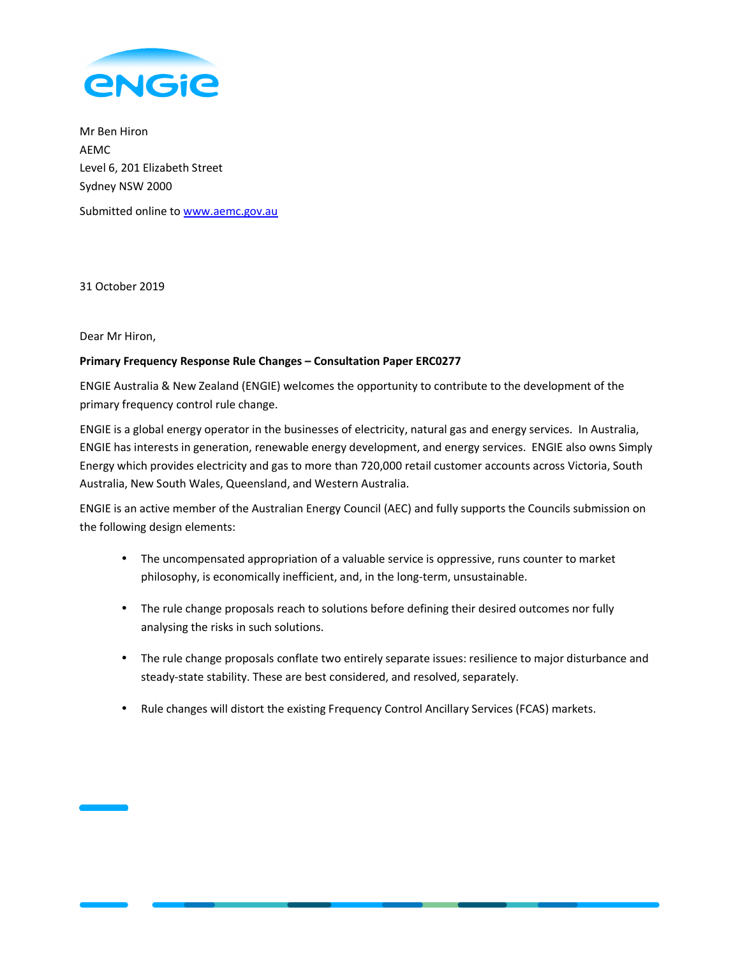

Mr Ben Hiron AEMC Level 6, 201 Elizabeth Street Sydney NSW 2000 Submitted online to www.aemc.gov.au

31 October 2019

Dear Mr Hiron,

# **Primary Frequency Response Rule Changes – Consultation Paper ERC0277**

ENGIE Australia & New Zealand (ENGIE) welcomes the opportunity to contribute to the development of the primary frequency control rule change.

ENGIE is a global energy operator in the businesses of electricity, natural gas and energy services. In Australia, ENGIE has interests in generation, renewable energy development, and energy services. ENGIE also owns Simply Energy which provides electricity and gas to more than 720,000 retail customer accounts across Victoria, South Australia, New South Wales, Queensland, and Western Australia.

ENGIE is an active member of the Australian Energy Council (AEC) and fully supports the Councils submission on the following design elements:

- The uncompensated appropriation of a valuable service is oppressive, runs counter to market philosophy, is economically inefficient, and, in the long-term, unsustainable.
- The rule change proposals reach to solutions before defining their desired outcomes nor fully analysing the risks in such solutions.
- The rule change proposals conflate two entirely separate issues: resilience to major disturbance and steady-state stability. These are best considered, and resolved, separately.
- Rule changes will distort the existing Frequency Control Ancillary Services (FCAS) markets.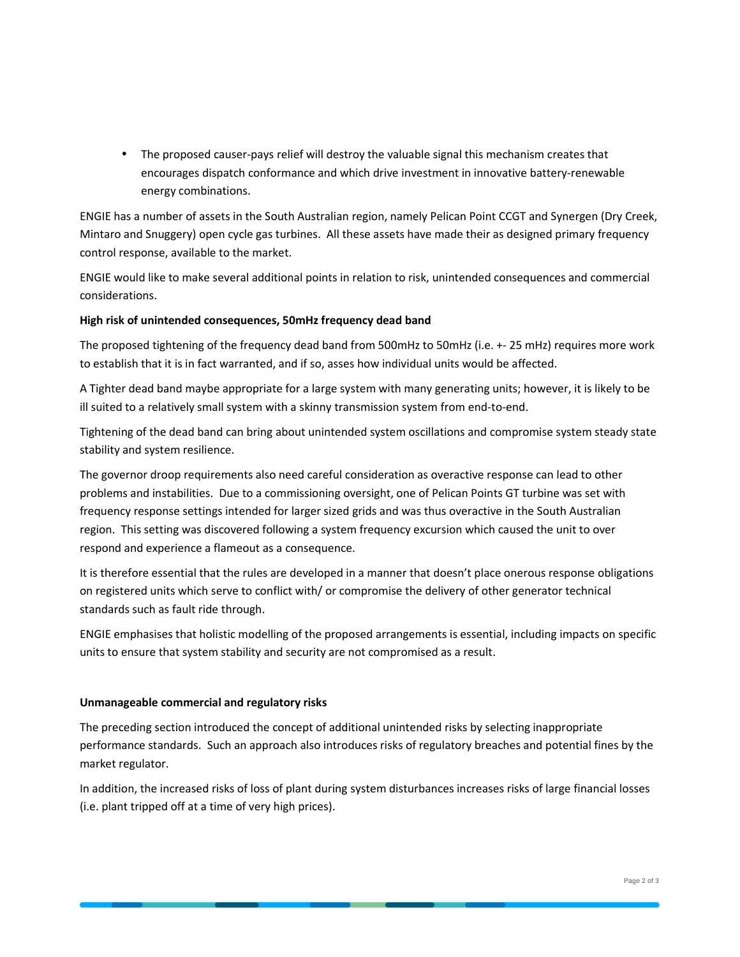• The proposed causer-pays relief will destroy the valuable signal this mechanism creates that encourages dispatch conformance and which drive investment in innovative battery-renewable energy combinations.

ENGIE has a number of assets in the South Australian region, namely Pelican Point CCGT and Synergen (Dry Creek, Mintaro and Snuggery) open cycle gas turbines. All these assets have made their as designed primary frequency control response, available to the market.

ENGIE would like to make several additional points in relation to risk, unintended consequences and commercial considerations.

# **High risk of unintended consequences, 50mHz frequency dead band**

The proposed tightening of the frequency dead band from 500mHz to 50mHz (i.e. +- 25 mHz) requires more work to establish that it is in fact warranted, and if so, asses how individual units would be affected.

A Tighter dead band maybe appropriate for a large system with many generating units; however, it is likely to be ill suited to a relatively small system with a skinny transmission system from end-to-end.

Tightening of the dead band can bring about unintended system oscillations and compromise system steady state stability and system resilience.

The governor droop requirements also need careful consideration as overactive response can lead to other problems and instabilities. Due to a commissioning oversight, one of Pelican Points GT turbine was set with frequency response settings intended for larger sized grids and was thus overactive in the South Australian region. This setting was discovered following a system frequency excursion which caused the unit to over respond and experience a flameout as a consequence.

It is therefore essential that the rules are developed in a manner that doesn't place onerous response obligations on registered units which serve to conflict with/ or compromise the delivery of other generator technical standards such as fault ride through.

ENGIE emphasises that holistic modelling of the proposed arrangements is essential, including impacts on specific units to ensure that system stability and security are not compromised as a result.

## **Unmanageable commercial and regulatory risks**

The preceding section introduced the concept of additional unintended risks by selecting inappropriate performance standards. Such an approach also introduces risks of regulatory breaches and potential fines by the market regulator.

In addition, the increased risks of loss of plant during system disturbances increases risks of large financial losses (i.e. plant tripped off at a time of very high prices).